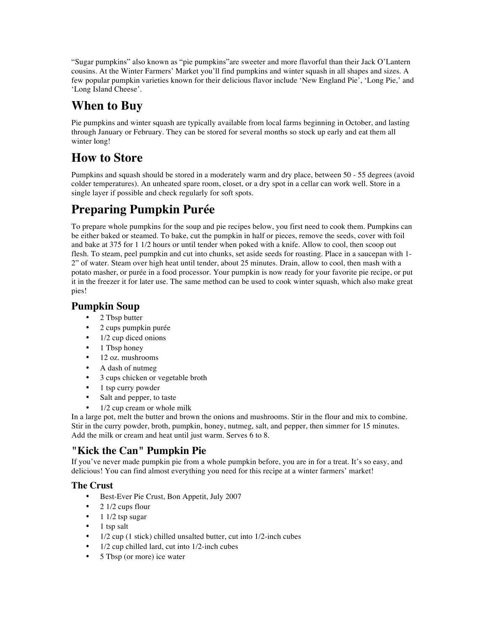"Sugar pumpkins" also known as "pie pumpkins"are sweeter and more flavorful than their Jack O'Lantern cousins. At the Winter Farmers' Market you'll find pumpkins and winter squash in all shapes and sizes. A few popular pumpkin varieties known for their delicious flavor include 'New England Pie', 'Long Pie,' and 'Long Island Cheese'.

# **When to Buy**

Pie pumpkins and winter squash are typically available from local farms beginning in October, and lasting through January or February. They can be stored for several months so stock up early and eat them all winter long!

## **How to Store**

Pumpkins and squash should be stored in a moderately warm and dry place, between 50 - 55 degrees (avoid colder temperatures). An unheated spare room, closet, or a dry spot in a cellar can work well. Store in a single layer if possible and check regularly for soft spots.

# **Preparing Pumpkin Purée**

To prepare whole pumpkins for the soup and pie recipes below, you first need to cook them. Pumpkins can be either baked or steamed. To bake, cut the pumpkin in half or pieces, remove the seeds, cover with foil and bake at 375 for 1 1/2 hours or until tender when poked with a knife. Allow to cool, then scoop out flesh. To steam, peel pumpkin and cut into chunks, set aside seeds for roasting. Place in a saucepan with 1- 2" of water. Steam over high heat until tender, about 25 minutes. Drain, allow to cool, then mash with a potato masher, or purée in a food processor. Your pumpkin is now ready for your favorite pie recipe, or put it in the freezer it for later use. The same method can be used to cook winter squash, which also make great pies!

## **Pumpkin Soup**

- 2 Tbsp butter
- 2 cups pumpkin purée
- 1/2 cup diced onions
- 1 Tbsp honey
- 12 oz. mushrooms
- A dash of nutmeg
- 3 cups chicken or vegetable broth
- 1 tsp curry powder
- Salt and pepper, to taste
- 1/2 cup cream or whole milk

In a large pot, melt the butter and brown the onions and mushrooms. Stir in the flour and mix to combine. Stir in the curry powder, broth, pumpkin, honey, nutmeg, salt, and pepper, then simmer for 15 minutes. Add the milk or cream and heat until just warm. Serves 6 to 8.

### **"Kick the Can" Pumpkin Pie**

If you've never made pumpkin pie from a whole pumpkin before, you are in for a treat. It's so easy, and delicious! You can find almost everything you need for this recipe at a winter farmers' market!

### **The Crust**

- Best-Ever Pie Crust, Bon Appetit, July 2007
- 2 1/2 cups flour
- 1 1/2 tsp sugar
- 1 tsp salt
- 1/2 cup (1 stick) chilled unsalted butter, cut into 1/2-inch cubes
- 1/2 cup chilled lard, cut into 1/2-inch cubes
- 5 Tbsp (or more) ice water